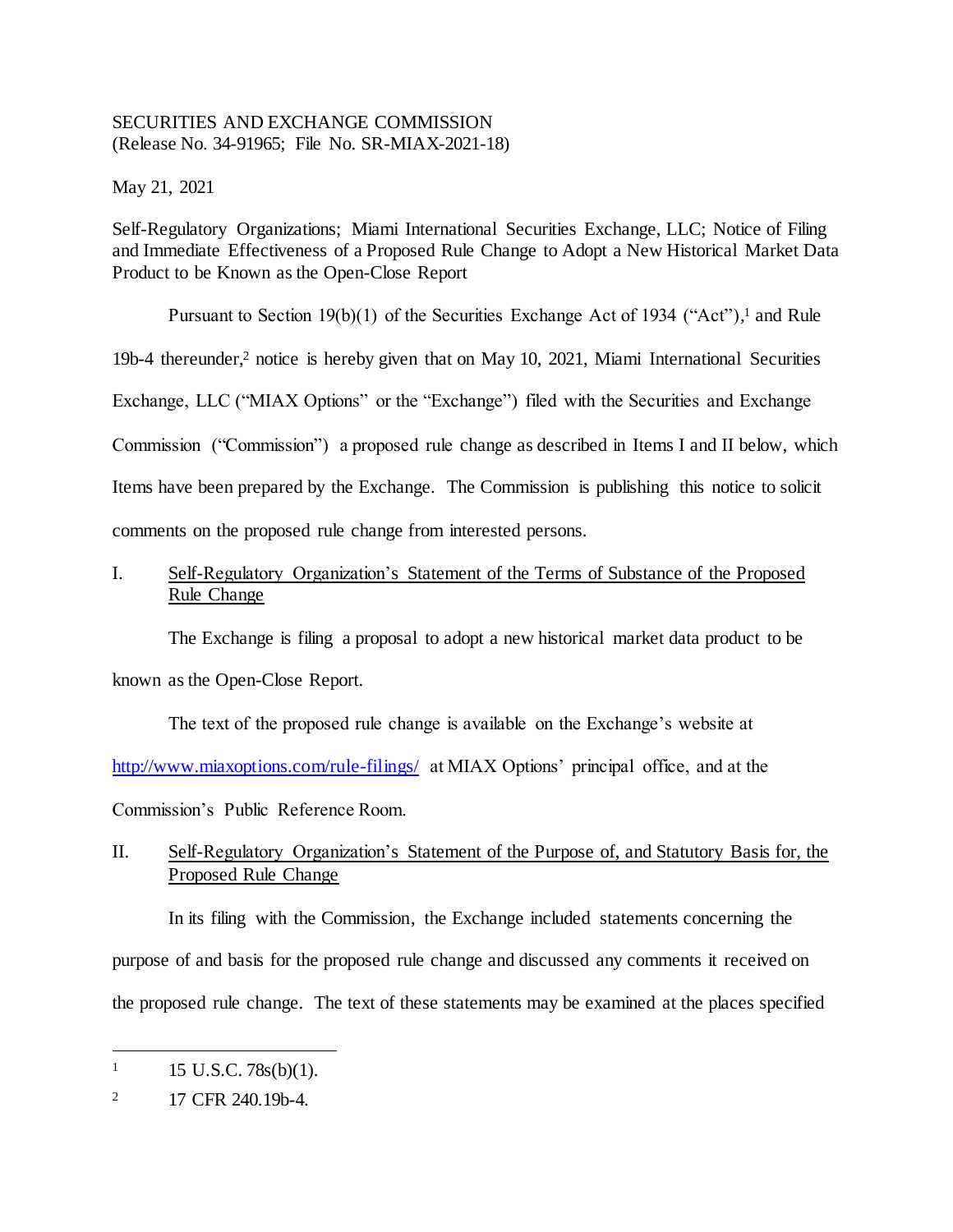## SECURITIES AND EXCHANGE COMMISSION (Release No. 34-91965; File No. SR-MIAX-2021-18)

May 21, 2021

Self-Regulatory Organizations; Miami International Securities Exchange, LLC; Notice of Filing and Immediate Effectiveness of a Proposed Rule Change to Adopt a New Historical Market Data Product to be Known as the Open-Close Report

Pursuant to Section 19(b)(1) of the Securities Exchange Act of 1934 ("Act"),<sup>1</sup> and Rule

19b-4 thereunder,<sup>2</sup> notice is hereby given that on May 10, 2021, Miami International Securities

Exchange, LLC ("MIAX Options" or the "Exchange") filed with the Securities and Exchange

Commission ("Commission") a proposed rule change as described in Items I and II below, which

Items have been prepared by the Exchange. The Commission is publishing this notice to solicit comments on the proposed rule change from interested persons.

# I. Self-Regulatory Organization's Statement of the Terms of Substance of the Proposed Rule Change

The Exchange is filing a proposal to adopt a new historical market data product to be known as the Open-Close Report.

The text of the proposed rule change is available on the Exchange's website at [http://www.miaxoptions.com/rule-filings/](http://www.miaxoptions.com/rule-filings/pearl) at MIAX Options' principal office, and at the Commission's Public Reference Room.

# II. Self-Regulatory Organization's Statement of the Purpose of, and Statutory Basis for, the Proposed Rule Change

In its filing with the Commission, the Exchange included statements concerning the purpose of and basis for the proposed rule change and discussed any comments it received on the proposed rule change. The text of these statements may be examined at the places specified

 $1 \quad 15 \text{ U.S.C. } 78 \text{s(b)}(1).$ 

<sup>2</sup> 17 CFR 240.19b-4.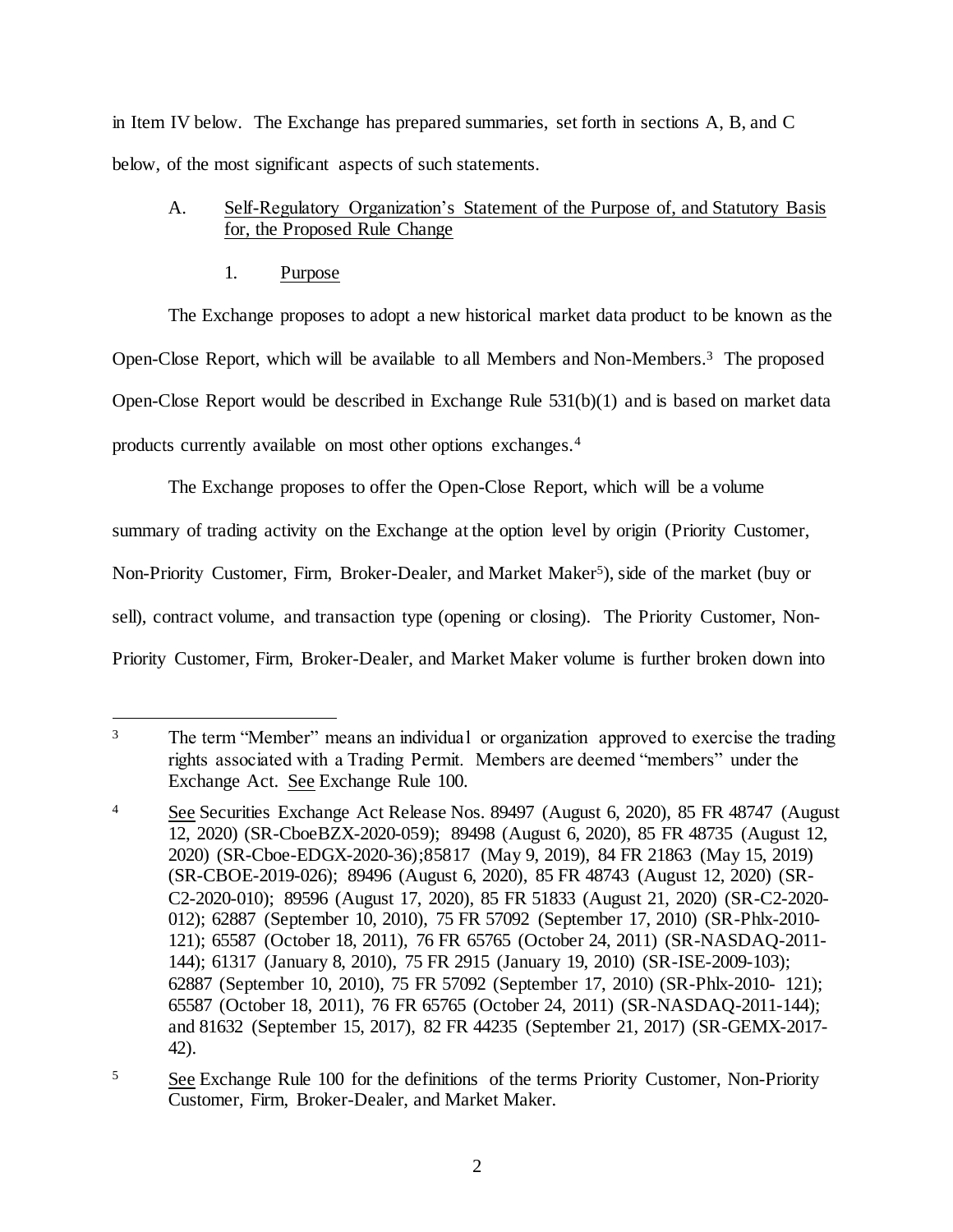in Item IV below. The Exchange has prepared summaries, set forth in sections A, B, and C below, of the most significant aspects of such statements.

# A. Self-Regulatory Organization's Statement of the Purpose of, and Statutory Basis for, the Proposed Rule Change

# 1. Purpose

The Exchange proposes to adopt a new historical market data product to be known as the Open-Close Report, which will be available to all Members and Non-Members.<sup>3</sup> The proposed Open-Close Report would be described in Exchange Rule 531(b)(1) and is based on market data products currently available on most other options exchanges.<sup>4</sup>

The Exchange proposes to offer the Open-Close Report, which will be a volume

summary of trading activity on the Exchange at the option level by origin (Priority Customer,

Non-Priority Customer, Firm, Broker-Dealer, and Market Maker<sup>5</sup>), side of the market (buy or

sell), contract volume, and transaction type (opening or closing). The Priority Customer, Non-

Priority Customer, Firm, Broker-Dealer, and Market Maker volume is further broken down into

l <sup>3</sup> The term "Member" means an individual or organization approved to exercise the trading rights associated with a Trading Permit. Members are deemed "members" under the Exchange Act. See Exchange Rule 100.

<sup>&</sup>lt;sup>4</sup> See Securities Exchange Act Release Nos. 89497 (August 6, 2020), 85 FR 48747 (August 12, 2020) (SR-CboeBZX-2020-059); 89498 (August 6, 2020), 85 FR 48735 (August 12, 2020) (SR-Cboe-EDGX-2020-36);85817 (May 9, 2019), 84 FR 21863 (May 15, 2019) (SR-CBOE-2019-026); 89496 (August 6, 2020), 85 FR 48743 (August 12, 2020) (SR-C2-2020-010); 89596 (August 17, 2020), 85 FR 51833 (August 21, 2020) (SR-C2-2020- 012); 62887 (September 10, 2010), 75 FR 57092 (September 17, 2010) (SR-Phlx-2010- 121); 65587 (October 18, 2011), 76 FR 65765 (October 24, 2011) (SR-NASDAQ-2011- 144); 61317 (January 8, 2010), 75 FR 2915 (January 19, 2010) (SR-ISE-2009-103); 62887 (September 10, 2010), 75 FR 57092 (September 17, 2010) (SR-Phlx-2010- 121); 65587 (October 18, 2011), 76 FR 65765 (October 24, 2011) (SR-NASDAQ-2011-144); and 81632 (September 15, 2017), 82 FR 44235 (September 21, 2017) (SR-GEMX-2017- 42).

<sup>&</sup>lt;sup>5</sup> See Exchange Rule 100 for the definitions of the terms Priority Customer, Non-Priority Customer, Firm, Broker-Dealer, and Market Maker.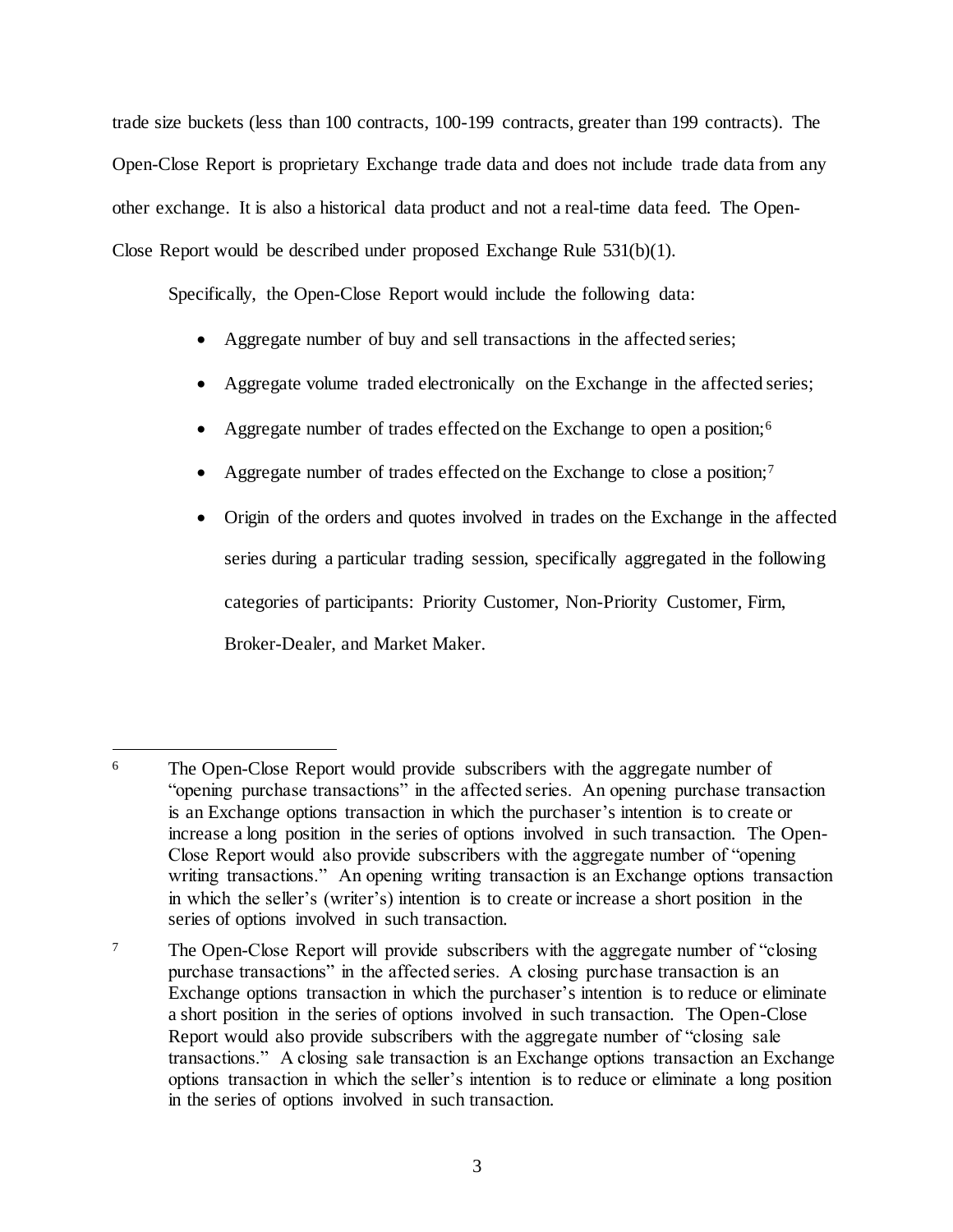trade size buckets (less than 100 contracts, 100-199 contracts, greater than 199 contracts). The Open-Close Report is proprietary Exchange trade data and does not include trade data from any other exchange. It is also a historical data product and not a real-time data feed. The Open-Close Report would be described under proposed Exchange Rule 531(b)(1).

Specifically, the Open-Close Report would include the following data:

- Aggregate number of buy and sell transactions in the affected series;
- Aggregate volume traded electronically on the Exchange in the affected series;
- Aggregate number of trades effected on the Exchange to open a position;<sup>6</sup>
- Aggregate number of trades effected on the Exchange to close a position;<sup>7</sup>
- Origin of the orders and quotes involved in trades on the Exchange in the affected series during a particular trading session, specifically aggregated in the following categories of participants: Priority Customer, Non-Priority Customer, Firm, Broker-Dealer, and Market Maker.

l <sup>6</sup> The Open-Close Report would provide subscribers with the aggregate number of "opening purchase transactions" in the affected series. An opening purchase transaction is an Exchange options transaction in which the purchaser's intention is to create or increase a long position in the series of options involved in such transaction. The Open-Close Report would also provide subscribers with the aggregate number of "opening writing transactions." An opening writing transaction is an Exchange options transaction in which the seller's (writer's) intention is to create or increase a short position in the series of options involved in such transaction.

<sup>&</sup>lt;sup>7</sup> The Open-Close Report will provide subscribers with the aggregate number of "closing" purchase transactions" in the affected series. A closing purchase transaction is an Exchange options transaction in which the purchaser's intention is to reduce or eliminate a short position in the series of options involved in such transaction. The Open-Close Report would also provide subscribers with the aggregate number of "closing sale transactions." A closing sale transaction is an Exchange options transaction an Exchange options transaction in which the seller's intention is to reduce or eliminate a long position in the series of options involved in such transaction.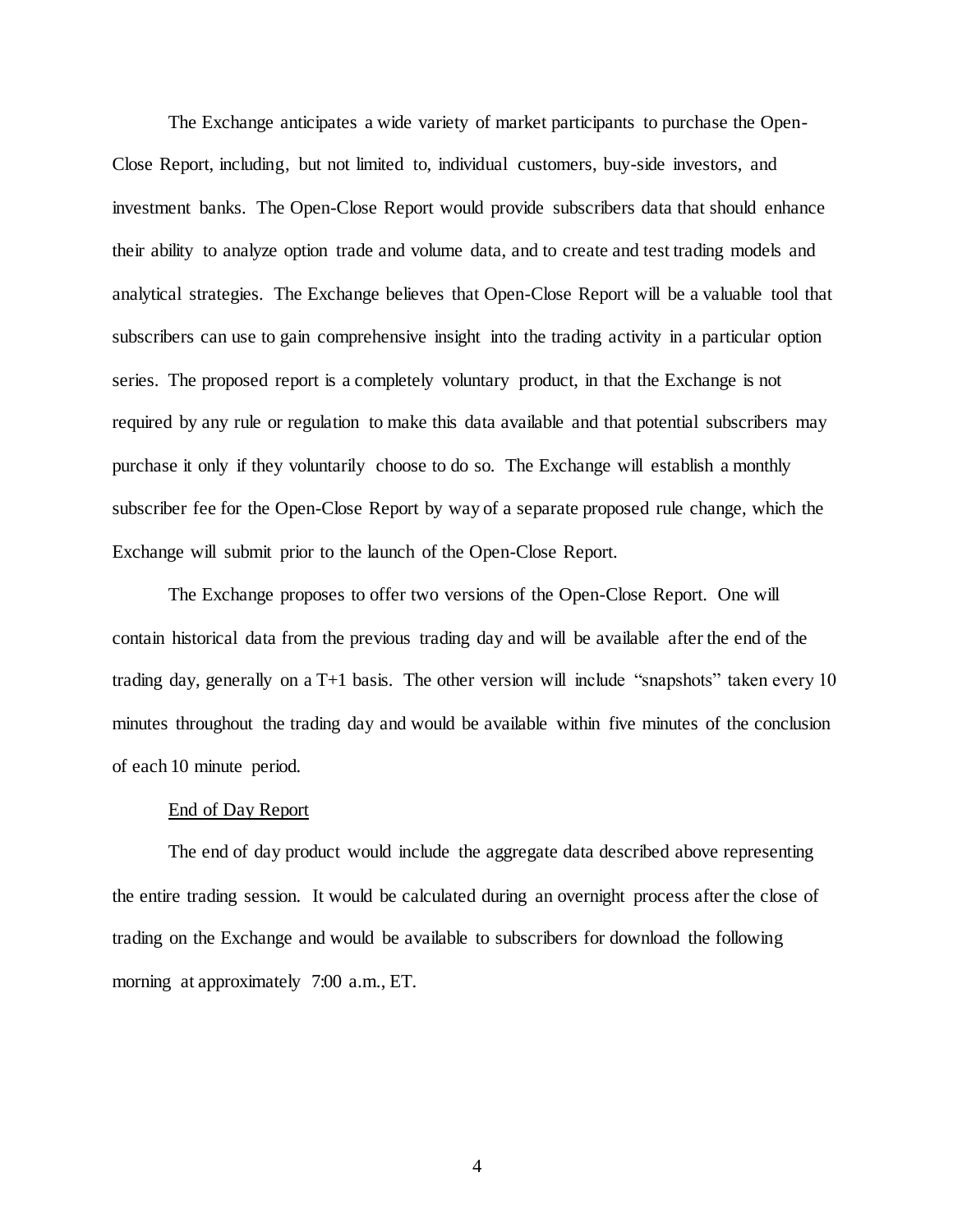The Exchange anticipates a wide variety of market participants to purchase the Open-Close Report, including, but not limited to, individual customers, buy-side investors, and investment banks. The Open-Close Report would provide subscribers data that should enhance their ability to analyze option trade and volume data, and to create and test trading models and analytical strategies. The Exchange believes that Open-Close Report will be a valuable tool that subscribers can use to gain comprehensive insight into the trading activity in a particular option series. The proposed report is a completely voluntary product, in that the Exchange is not required by any rule or regulation to make this data available and that potential subscribers may purchase it only if they voluntarily choose to do so. The Exchange will establish a monthly subscriber fee for the Open-Close Report by way of a separate proposed rule change, which the Exchange will submit prior to the launch of the Open-Close Report.

The Exchange proposes to offer two versions of the Open-Close Report. One will contain historical data from the previous trading day and will be available after the end of the trading day, generally on a T+1 basis. The other version will include "snapshots" taken every 10 minutes throughout the trading day and would be available within five minutes of the conclusion of each 10 minute period.

#### End of Day Report

The end of day product would include the aggregate data described above representing the entire trading session. It would be calculated during an overnight process after the close of trading on the Exchange and would be available to subscribers for download the following morning at approximately 7:00 a.m., ET.

4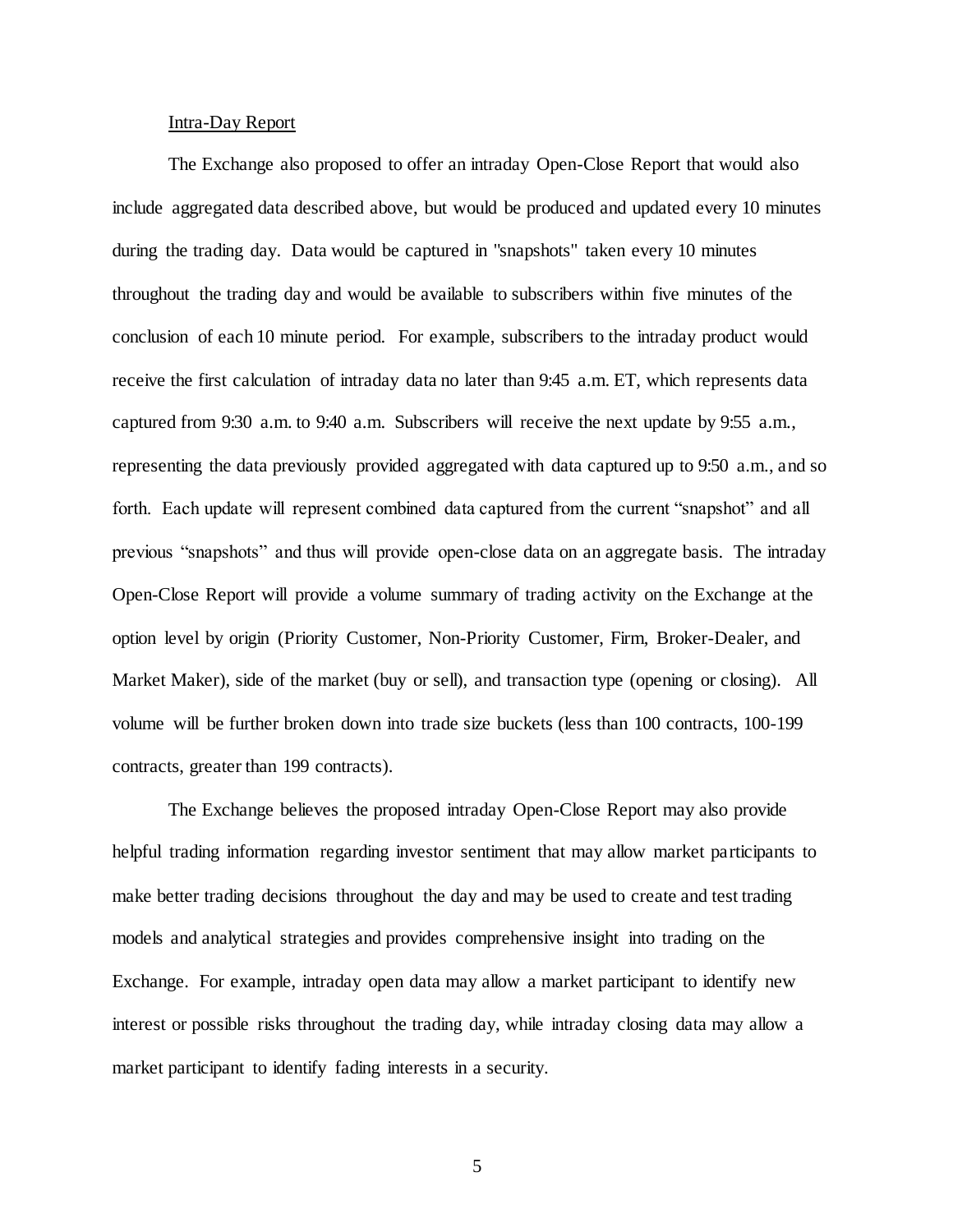### Intra-Day Report

The Exchange also proposed to offer an intraday Open-Close Report that would also include aggregated data described above, but would be produced and updated every 10 minutes during the trading day. Data would be captured in "snapshots" taken every 10 minutes throughout the trading day and would be available to subscribers within five minutes of the conclusion of each 10 minute period. For example, subscribers to the intraday product would receive the first calculation of intraday data no later than 9:45 a.m. ET, which represents data captured from 9:30 a.m. to 9:40 a.m. Subscribers will receive the next update by 9:55 a.m., representing the data previously provided aggregated with data captured up to 9:50 a.m., and so forth. Each update will represent combined data captured from the current "snapshot" and all previous "snapshots" and thus will provide open-close data on an aggregate basis. The intraday Open-Close Report will provide a volume summary of trading activity on the Exchange at the option level by origin (Priority Customer, Non-Priority Customer, Firm, Broker-Dealer, and Market Maker), side of the market (buy or sell), and transaction type (opening or closing). All volume will be further broken down into trade size buckets (less than 100 contracts, 100-199 contracts, greater than 199 contracts).

The Exchange believes the proposed intraday Open-Close Report may also provide helpful trading information regarding investor sentiment that may allow market participants to make better trading decisions throughout the day and may be used to create and test trading models and analytical strategies and provides comprehensive insight into trading on the Exchange. For example, intraday open data may allow a market participant to identify new interest or possible risks throughout the trading day, while intraday closing data may allow a market participant to identify fading interests in a security.

5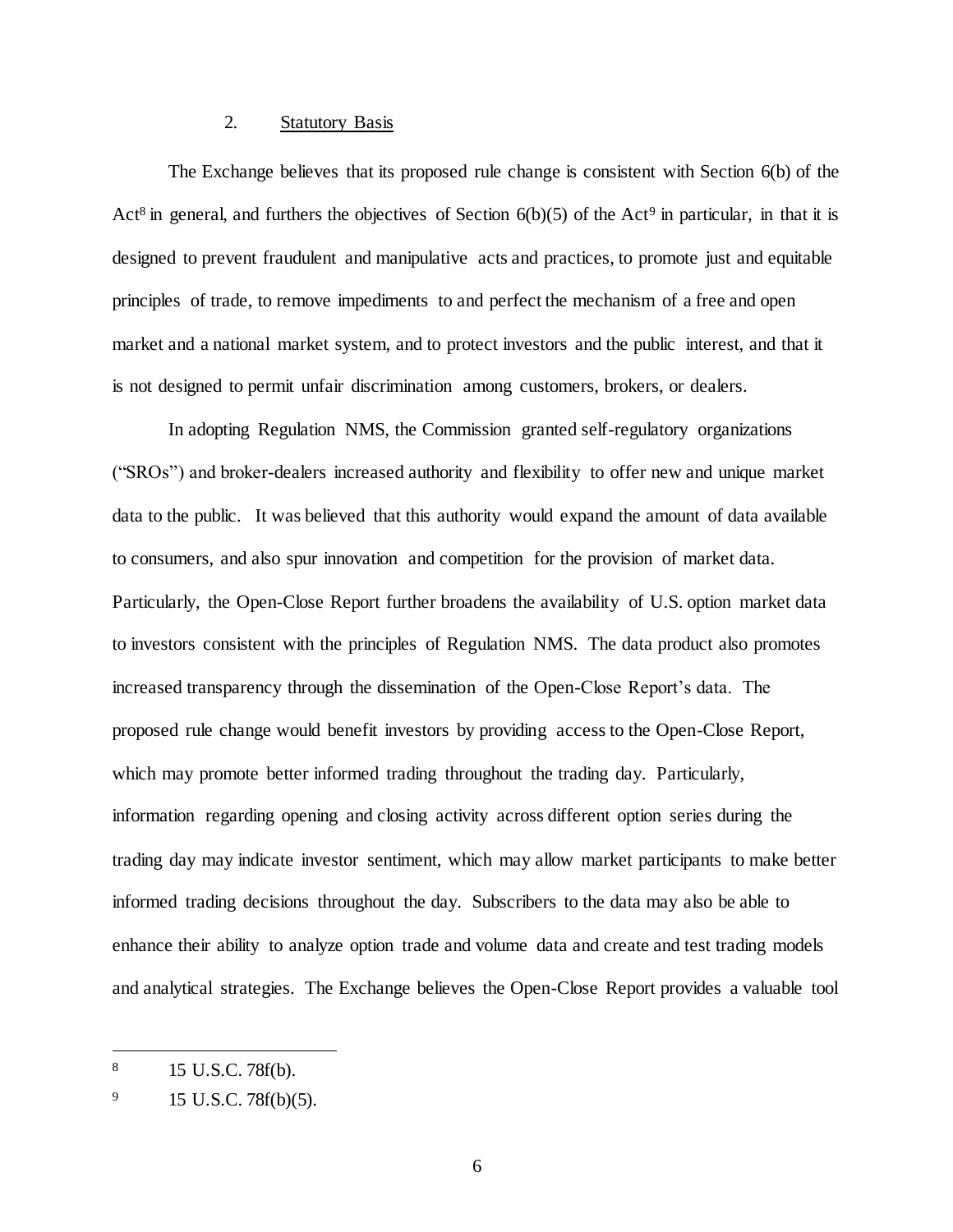#### 2. Statutory Basis

The Exchange believes that its proposed rule change is consistent with Section 6(b) of the Act<sup>8</sup> in general, and furthers the objectives of Section  $6(b)(5)$  of the Act<sup>9</sup> in particular, in that it is designed to prevent fraudulent and manipulative acts and practices, to promote just and equitable principles of trade, to remove impediments to and perfect the mechanism of a free and open market and a national market system, and to protect investors and the public interest, and that it is not designed to permit unfair discrimination among customers, brokers, or dealers.

In adopting Regulation NMS, the Commission granted self-regulatory organizations ("SROs") and broker-dealers increased authority and flexibility to offer new and unique market data to the public. It was believed that this authority would expand the amount of data available to consumers, and also spur innovation and competition for the provision of market data. Particularly, the Open-Close Report further broadens the availability of U.S. option market data to investors consistent with the principles of Regulation NMS. The data product also promotes increased transparency through the dissemination of the Open-Close Report's data. The proposed rule change would benefit investors by providing access to the Open-Close Report, which may promote better informed trading throughout the trading day. Particularly, information regarding opening and closing activity across different option series during the trading day may indicate investor sentiment, which may allow market participants to make better informed trading decisions throughout the day. Subscribers to the data may also be able to enhance their ability to analyze option trade and volume data and create and test trading models and analytical strategies. The Exchange believes the Open-Close Report provides a valuable tool

<sup>8</sup> 15 U.S.C. 78f(b).

<sup>9</sup> 15 U.S.C. 78f(b)(5).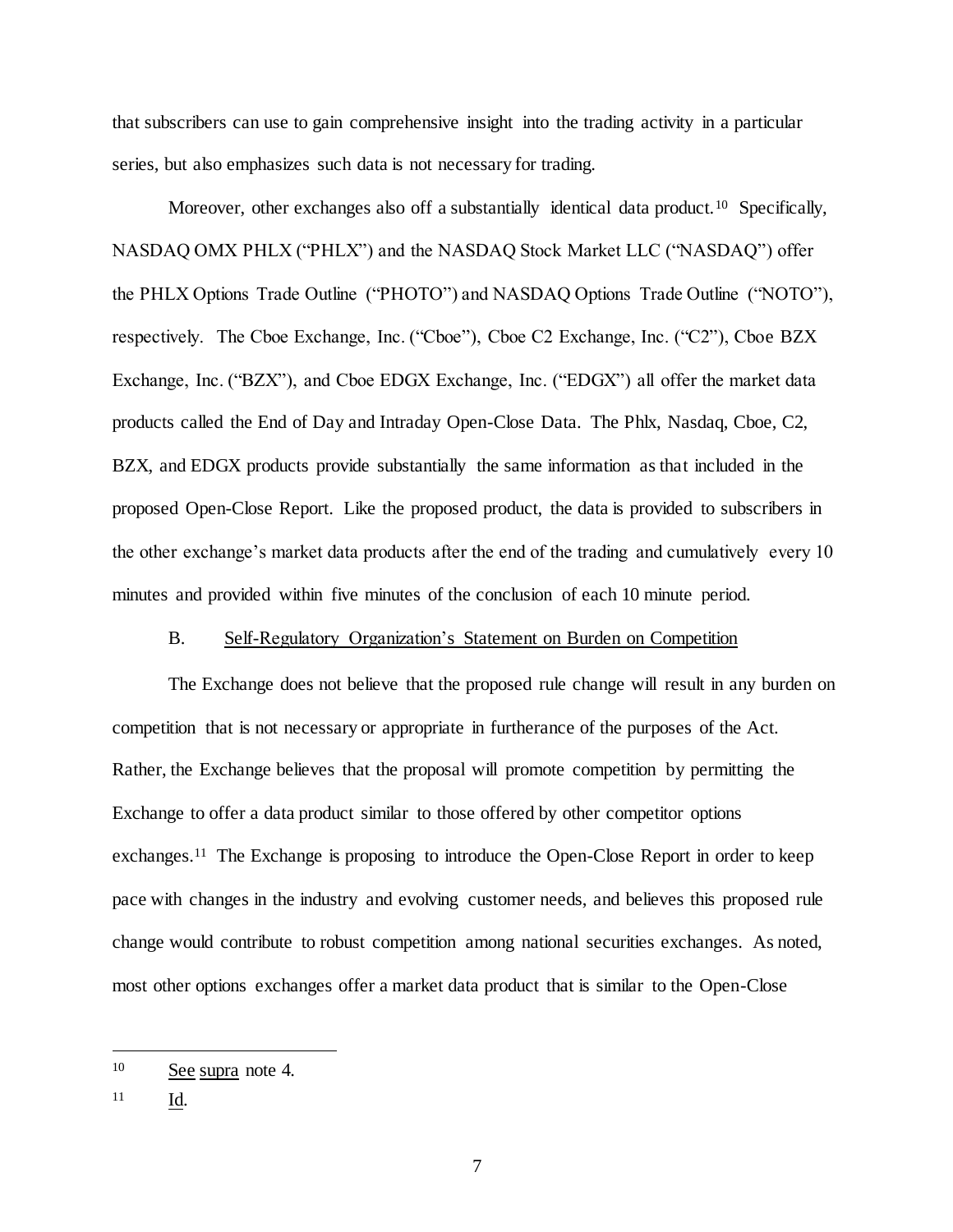that subscribers can use to gain comprehensive insight into the trading activity in a particular series, but also emphasizes such data is not necessary for trading.

Moreover, other exchanges also off a substantially identical data product.<sup>10</sup> Specifically, NASDAQ OMX PHLX ("PHLX") and the NASDAQ Stock Market LLC ("NASDAQ") offer the PHLX Options Trade Outline ("PHOTO") and NASDAQ Options Trade Outline ("NOTO"), respectively. The Cboe Exchange, Inc. ("Cboe"), Cboe C2 Exchange, Inc. ("C2"), Cboe BZX Exchange, Inc. ("BZX"), and Cboe EDGX Exchange, Inc. ("EDGX") all offer the market data products called the End of Day and Intraday Open-Close Data. The Phlx, Nasdaq, Cboe, C2, BZX, and EDGX products provide substantially the same information as that included in the proposed Open-Close Report. Like the proposed product, the data is provided to subscribers in the other exchange's market data products after the end of the trading and cumulatively every 10 minutes and provided within five minutes of the conclusion of each 10 minute period.

### B. Self-Regulatory Organization's Statement on Burden on Competition

The Exchange does not believe that the proposed rule change will result in any burden on competition that is not necessary or appropriate in furtherance of the purposes of the Act. Rather, the Exchange believes that the proposal will promote competition by permitting the Exchange to offer a data product similar to those offered by other competitor options exchanges.<sup>11</sup> The Exchange is proposing to introduce the Open-Close Report in order to keep pace with changes in the industry and evolving customer needs, and believes this proposed rule change would contribute to robust competition among national securities exchanges. As noted, most other options exchanges offer a market data product that is similar to the Open-Close

<sup>10</sup> See supra note 4.

<sup>11</sup> Id.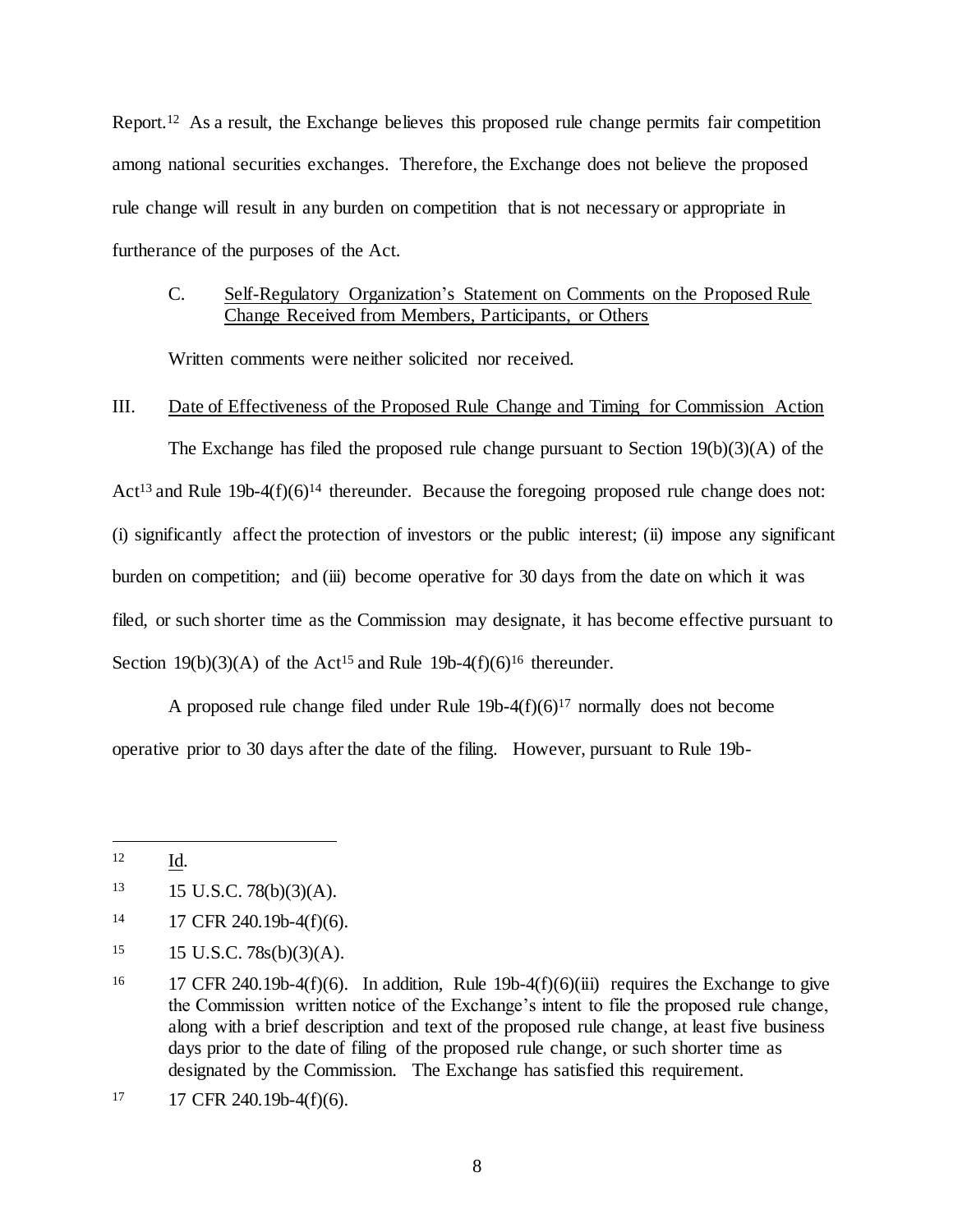Report.<sup>12</sup> As a result, the Exchange believes this proposed rule change permits fair competition among national securities exchanges. Therefore, the Exchange does not believe the proposed rule change will result in any burden on competition that is not necessary or appropriate in furtherance of the purposes of the Act.

# C. Self-Regulatory Organization's Statement on Comments on the Proposed Rule Change Received from Members, Participants, or Others

Written comments were neither solicited nor received.

## III. Date of Effectiveness of the Proposed Rule Change and Timing for Commission Action

The Exchange has filed the proposed rule change pursuant to Section 19(b)(3)(A) of the Act<sup>13</sup> and Rule 19b-4(f)(6)<sup>14</sup> thereunder. Because the foregoing proposed rule change does not: (i) significantly affect the protection of investors or the public interest; (ii) impose any significant burden on competition; and (iii) become operative for 30 days from the date on which it was filed, or such shorter time as the Commission may designate, it has become effective pursuant to Section 19(b)(3)(A) of the Act<sup>15</sup> and Rule 19b-4(f)(6)<sup>16</sup> thereunder.

A proposed rule change filed under Rule  $19b-4(f)(6)^{17}$  normally does not become operative prior to 30 days after the date of the filing. However, pursuant to Rule 19b-

<sup>12</sup> Id.

 $13 \qquad 15 \text{ U.S.C. } 78(b)(3)(A).$ 

<sup>14 17</sup> CFR 240.19b-4(f)(6).

 $15 \text{ U.S.C. } 78s(b)(3)(A).$ 

<sup>&</sup>lt;sup>16</sup> 17 CFR 240.19b-4(f)(6). In addition, Rule 19b-4(f)(6)(iii) requires the Exchange to give the Commission written notice of the Exchange's intent to file the proposed rule change, along with a brief description and text of the proposed rule change, at least five business days prior to the date of filing of the proposed rule change, or such shorter time as designated by the Commission. The Exchange has satisfied this requirement.

 $17$  17 CFR 240.19b-4(f)(6).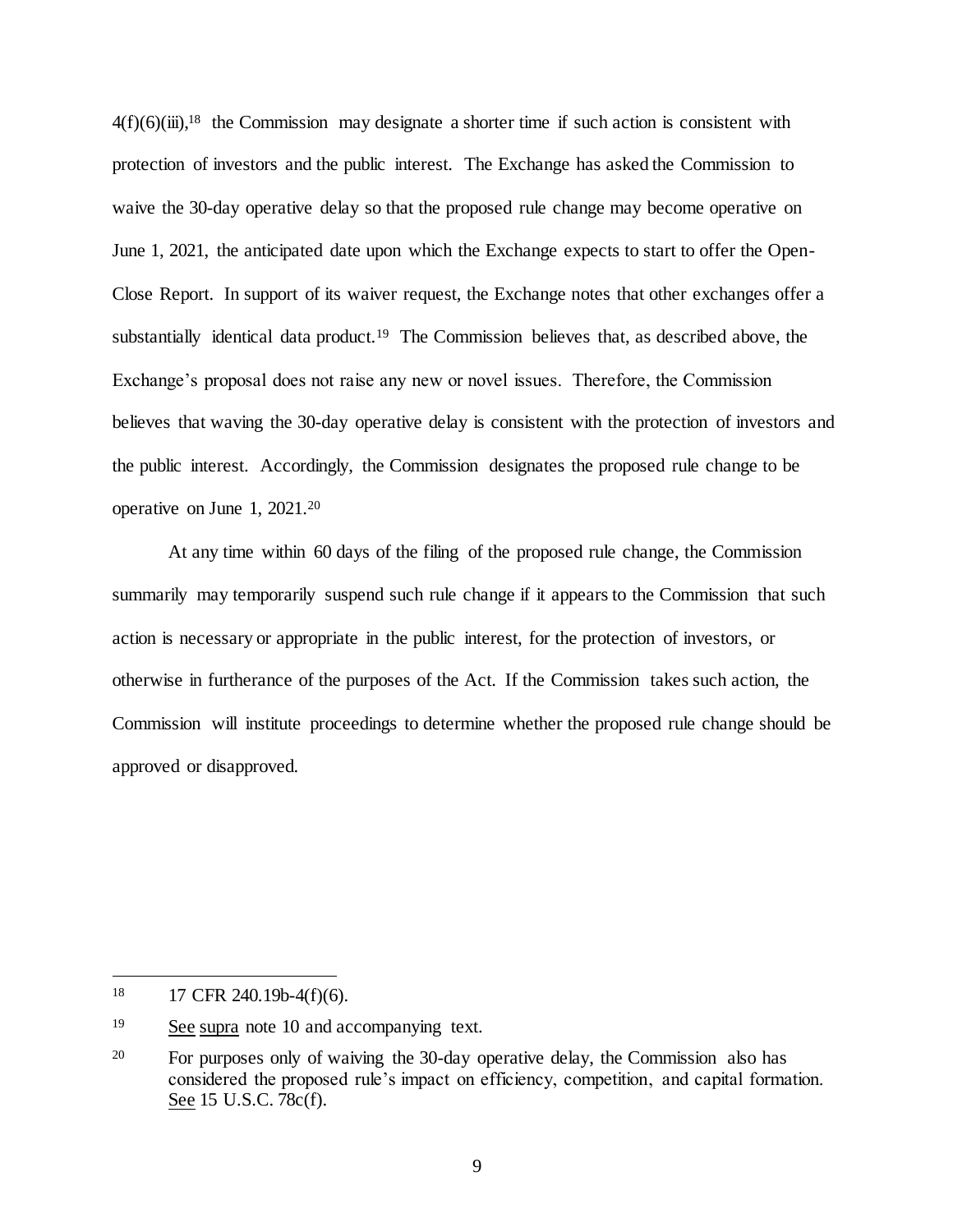$4(f)(6)(iii)$ ,<sup>18</sup> the Commission may designate a shorter time if such action is consistent with protection of investors and the public interest. The Exchange has asked the Commission to waive the 30-day operative delay so that the proposed rule change may become operative on June 1, 2021, the anticipated date upon which the Exchange expects to start to offer the Open-Close Report. In support of its waiver request, the Exchange notes that other exchanges offer a substantially identical data product.<sup>19</sup> The Commission believes that, as described above, the Exchange's proposal does not raise any new or novel issues. Therefore, the Commission believes that waving the 30-day operative delay is consistent with the protection of investors and the public interest. Accordingly, the Commission designates the proposed rule change to be operative on June 1, 2021.<sup>20</sup>

At any time within 60 days of the filing of the proposed rule change, the Commission summarily may temporarily suspend such rule change if it appears to the Commission that such action is necessary or appropriate in the public interest, for the protection of investors, or otherwise in furtherance of the purposes of the Act. If the Commission takes such action, the Commission will institute proceedings to determine whether the proposed rule change should be approved or disapproved.

<sup>18</sup> <sup>18</sup> 17 CFR 240.19b-4(f)(6).

<sup>&</sup>lt;sup>19</sup> See supra note 10 and accompanying text.

<sup>&</sup>lt;sup>20</sup> For purposes only of waiving the 30-day operative delay, the Commission also has considered the proposed rule's impact on efficiency, competition, and capital formation. See 15 U.S.C. 78c(f).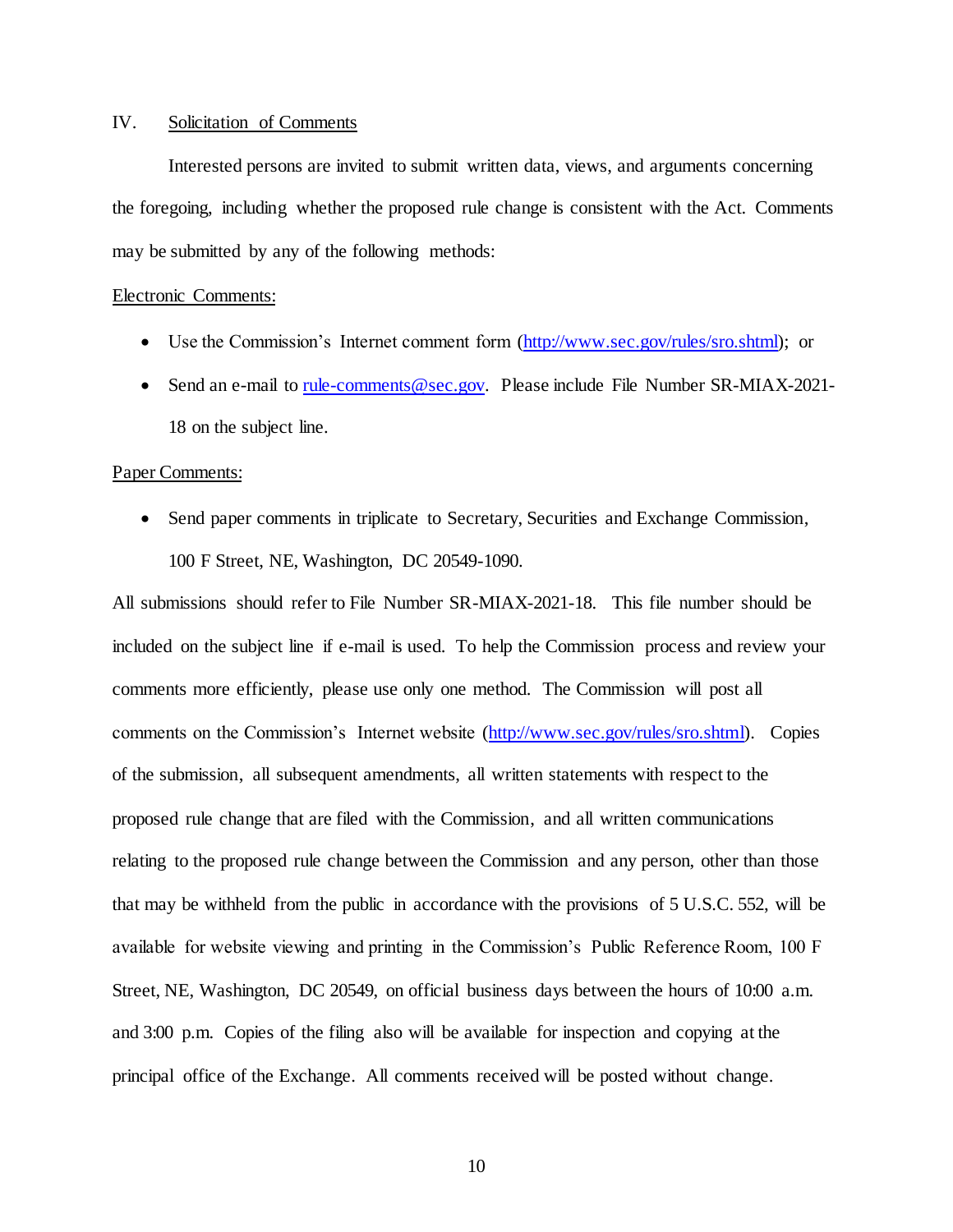## IV. Solicitation of Comments

Interested persons are invited to submit written data, views, and arguments concerning the foregoing, including whether the proposed rule change is consistent with the Act. Comments may be submitted by any of the following methods:

#### Electronic Comments:

- Use the Commission's Internet comment form [\(http://www.sec.gov/rules/sro.shtml\);](http://www.sec.gov/rules/sro.shtml);) or
- Send an e-mail [to](mailto:to_rule-comments@sec.gov) rule-comments@sec.gov. Please include File Number SR-MIAX-2021-18 on the subject line.

### Paper Comments:

• Send paper comments in triplicate to Secretary, Securities and Exchange Commission, 100 F Street, NE, Washington, DC 20549-1090.

All submissions should refer to File Number SR-MIAX-2021-18. This file number should be included on the subject line if e-mail is used. To help the Commission process and review your comments more efficiently, please use only one method. The Commission will post all comments on the Commission's Internet website [\(http://www.sec.gov/rules/sro.shtml\).](http://www.sec.gov/rules/sro.shtml).) Copies of the submission, all subsequent amendments, all written statements with respect to the proposed rule change that are filed with the Commission, and all written communications relating to the proposed rule change between the Commission and any person, other than those that may be withheld from the public in accordance with the provisions of 5 U.S.C. 552, will be available for website viewing and printing in the Commission's Public Reference Room, 100 F Street, NE, Washington, DC 20549, on official business days between the hours of 10:00 a.m. and 3:00 p.m. Copies of the filing also will be available for inspection and copying at the principal office of the Exchange. All comments received will be posted without change.